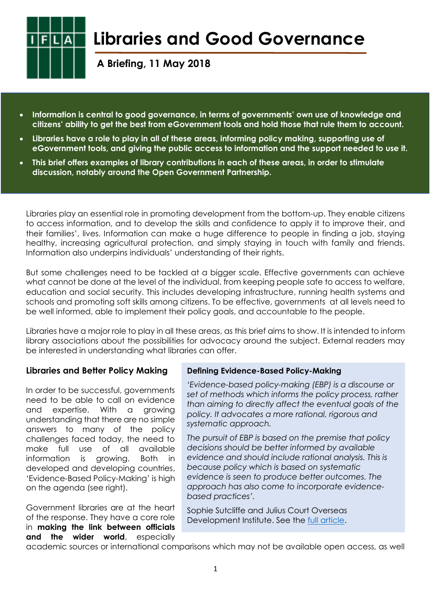

# **Libraries and Good Governance**

**A Briefing, 11 May 2018**

- **Information is central to good governance, in terms of governments' own use of knowledge and citizens' ability to get the best from eGovernment tools and hold those that rule them to account.**
- **Libraries have a role to play in all of these areas, informing policy making, supporting use of eGovernment tools, and giving the public access to information and the support needed to use it.**
- **This brief offers examples of library contributions in each of these areas, in order to stimulate discussion, notably around the Open Government Partnership.**

Libraries play an essential role in promoting development from the bottom-up. They enable citizens to access information, and to develop the skills and confidence to apply it to improve their, and their families', lives. Information can make a huge difference to people in finding a job, staying healthy, increasing agricultural protection, and simply staying in touch with family and friends. Information also underpins individuals' understanding of their rights.

But some challenges need to be tackled at a bigger scale. Effective governments can achieve what cannot be done at the level of the individual, from keeping people safe to access to welfare, education and social security. This includes developing infrastructure, running health systems and schools and promoting soft skills among citizens. To be effective, governments at all levels need to be well informed, able to implement their policy goals, and accountable to the people.

Libraries have a major role to play in all these areas, as this brief aims to show. It is intended to inform library associations about the possibilities for advocacy around the subject. External readers may be interested in understanding what libraries can offer.

## **Libraries and Better Policy Making**

In order to be successful, governments need to be able to call on evidence and expertise. With a growing understanding that there are no simple answers to many of the policy challenges faced today, the need to make full use of all available information is growing. Both in developed and developing countries, 'Evidence-Based Policy-Making' is high on the agenda (see right).

Government libraries are at the heart of the response. They have a core role in **making the link between officials and the wider world**, especially

## **Defining Evidence-Based Policy-Making**

*'Evidence-based policy-making (EBP) is a discourse or set of methods which informs the policy process, rather than aiming to directly affect the eventual goals of the policy. It advocates a more rational, rigorous and systematic approach.* 

*The pursuit of EBP is based on the premise that policy decisions should be better informed by available evidence and should include rational analysis. This is because policy which is based on systematic evidence is seen to produce better outcomes. The approach has also come to incorporate evidencebased practices'.*

Sophie Sutcliffe and Julius Court Overseas Development Institute. See the [full article.](https://www.odi.org/sites/odi.org.uk/files/odi-assets/publications-opinion-files/3683.pdf)

academic sources or international comparisons which may not be available open access, as well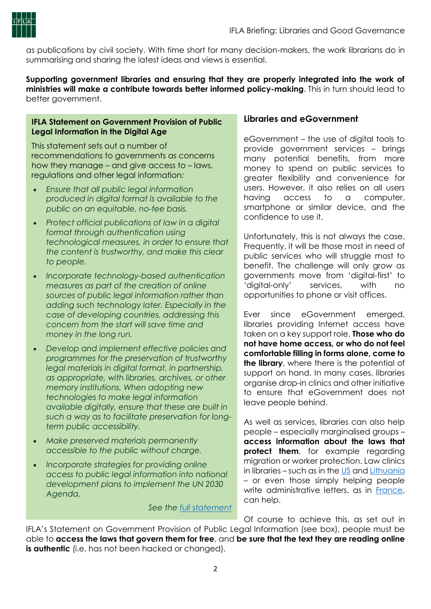

as publications by civil society. With time short for many decision-makers, the work librarians do in summarising and sharing the latest ideas and views is essential.

**Supporting government libraries and ensuring that they are properly integrated into the work of ministries will make a contribute towards better informed policy-making**. This in turn should lead to better government.

#### **IFLA Statement on Government Provision of Public Legal Information in the Digital Age**

This statement sets out a number of recommendations to governments as concerns how they manage – and give access to – laws, regulations and other legal information*:*

- *Ensure that all public legal information produced in digital format is available to the public on an equitable, no-fee basis.*
- *Protect official publications of law in a digital format through authentication using technological measures, in order to ensure that the content is trustworthy, and make this clear to people.*
- *Incorporate technology-based authentication measures as part of the creation of online sources of public legal information rather than adding such technology later. Especially in the case of developing countries, addressing this concern from the start will save time and money in the long run.*
- *Develop and implement effective policies and programmes for the preservation of trustworthy legal materials in digital format, in partnership, as appropriate, with libraries, archives, or other memory institutions. When adopting new technologies to make legal information available digitally, ensure that these are built in such a way as to facilitate preservation for longterm public accessibility.*
- *Make preserved materials permanently accessible to the public without charge.*
- *Incorporate strategies for providing online access to public legal information into national development plans to implement the UN 2030 Agenda.*

#### *See the [full statement](https://www.ifla.org/publications/node/11064)*

## **Libraries and eGovernment**

eGovernment – the use of digital tools to provide government services – brings many potential benefits, from more money to spend on public services to greater flexibility and convenience for users. However, it also relies on all users having access to a computer, smartphone or similar device, and the confidence to use it.

Unfortunately, this is not always the case. Frequently, it will be those most in need of public services who will struggle most to benefit. The challenge will only grow as governments move from 'digital-first' to 'digital-only' services, with no opportunities to phone or visit offices.

Ever since eGovernment emerged, libraries providing Internet access have taken on a key support role. **Those who do not have home access, or who do not feel comfortable filling in forms alone, come to the library**, where there is the potential of support on hand. In many cases, libraries organise drop-in clinics and other initiative to ensure that eGovernment does not leave people behind.

As well as services, libraries can also help people – especially marginalised groups – **access information about the laws that protect them**, for example regarding migration or worker protection. Law clinics in libraries – such as in th[e US](http://publiclibrariesonline.org/2018/03/lawyers-in-the-library/) and [Lithuania](https://sisterlibrariesnaple.wordpress.com/2018/03/27/the-law-clinic-of-klaipedas-i-simonaityte-library-lithuania/) – or even those simply helping people write administrative letters, as in [France,](https://bibliotheques.paris.fr/Default/ecrivain-public.aspx) can help.

Of course to achieve this, as set out in

IFLA's Statement on Government Provision of Public Legal Information (see box), people must be able to **access the laws that govern them for free**, and be sure that the text they are reading online **is authentic** (i.e. has not been hacked or changed).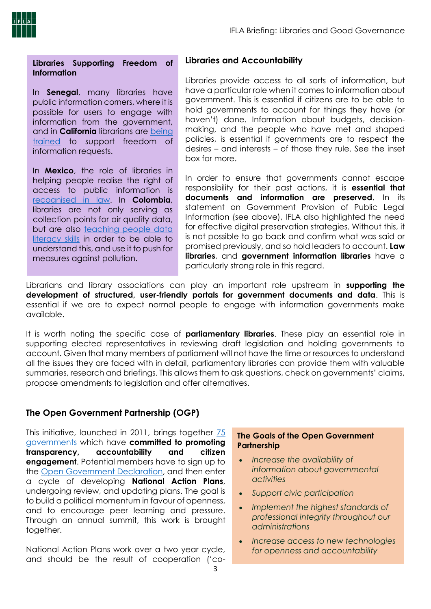

**Libraries Supporting Freedom of Information**

In **Senegal**, many libraries have public information corners, where it is possible for users to engage with information from the government, and in **California** librarians are [being](https://statescoop.com/how-public-libraries-are-becoming-the-place-where-citizens-can-turn-to-for-government-data)  [trained](https://statescoop.com/how-public-libraries-are-becoming-the-place-where-citizens-can-turn-to-for-government-data) to support freedom of information requests.

In **Mexico**, the role of libraries in helping people realise the right of access to public information is [recognised in law.](http://www.dof.gob.mx/avisos/2493/SG_090516/SG_090516.html) In **Colombia**, libraries are not only serving as collection points for air quality data, but are also [teaching people data](http://blog.techsoup.org/posts/how-nonprofits-and-libraries-can-use-open-data-to-lead-to-cleaner-air?utm_campaign=By%20The%20Cup&utm_source=hs_email&utm_medium=email&utm_content=62606857&_hsenc=p2ANqtz-9tch_2i9MSJo8ffoAb-X75FBN02XCB4MPvekD-NXVbgglCyojzicRoXNVfAbI84rgGxxOw02yU9vLdw2q01PvvmJxong&_hsmi=62606857)  [literacy skills](http://blog.techsoup.org/posts/how-nonprofits-and-libraries-can-use-open-data-to-lead-to-cleaner-air?utm_campaign=By%20The%20Cup&utm_source=hs_email&utm_medium=email&utm_content=62606857&_hsenc=p2ANqtz-9tch_2i9MSJo8ffoAb-X75FBN02XCB4MPvekD-NXVbgglCyojzicRoXNVfAbI84rgGxxOw02yU9vLdw2q01PvvmJxong&_hsmi=62606857) in order to be able to understand this, and use it to push for measures against pollution.

### **Libraries and Accountability**

Libraries provide access to all sorts of information, but have a particular role when it comes to information about government. This is essential if citizens are to be able to hold governments to account for things they have (or haven't) done. Information about budgets, decisionmaking, and the people who have met and shaped policies, is essential if governments are to respect the desires – and interests – of those they rule. See the inset box for more.

In order to ensure that governments cannot escape responsibility for their past actions, it is **essential that documents and information are preserved**. In its statement on Government Provision of Public Legal Information (see above), IFLA also highlighted the need for effective digital preservation strategies. Without this, it is not possible to go back and confirm what was said or promised previously, and so hold leaders to account. **Law libraries**, and **government information libraries** have a particularly strong role in this regard.

Librarians and library associations can play an important role upstream in **supporting the development of structured, user-friendly portals for government documents and data**. This is essential if we are to expect normal people to engage with information governments make available.

It is worth noting the specific case of **parliamentary libraries**. These play an essential role in supporting elected representatives in reviewing draft legislation and holding governments to account. Given that many members of parliament will not have the time or resources to understand all the issues they are faced with in detail, parliamentary libraries can provide them with valuable summaries, research and briefings. This allows them to ask questions, check on governments' claims, propose amendments to legislation and offer alternatives.

## **The Open Government Partnership (OGP)**

This initiative, launched in 2011, brings together [75](https://www.opengovpartnership.org/open-government-declaration)  [governments](https://www.opengovpartnership.org/open-government-declaration) which have **committed to promoting transparency, accountability and citizen engagement**. Potential members have to sign up to the [Open Government Declaration,](https://www.opengovpartnership.org/open-government-declaration) and then enter a cycle of developing **National Action Plans**, undergoing review, and updating plans. The goal is to build a political momentum in favour of openness, and to encourage peer learning and pressure. Through an annual summit, this work is brought together.

National Action Plans work over a two year cycle, and should be the result of cooperation ('co-

#### **The Goals of the Open Government Partnership**

- *Increase the availability of information about governmental activities*
- *Support civic participation*
- *Implement the highest standards of professional integrity throughout our administrations*
- *Increase access to new technologies for openness and accountability*